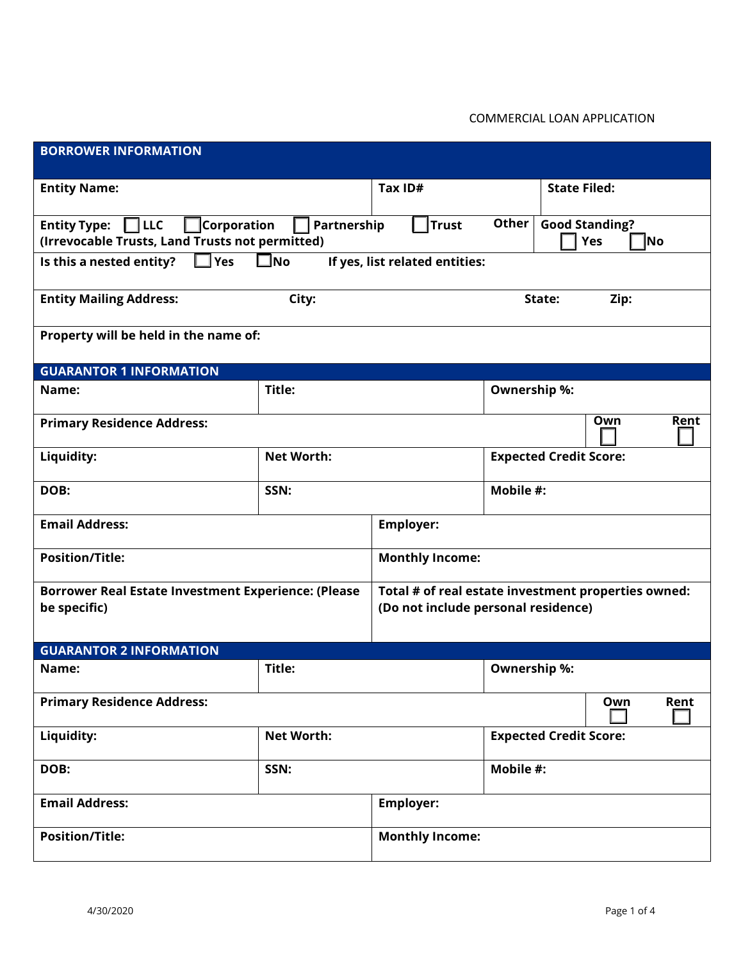## COMMERCIAL LOAN APPLICATION

| <b>BORROWER INFORMATION</b>                                                                                          |                   |                                                                                            |                               |                                     |  |
|----------------------------------------------------------------------------------------------------------------------|-------------------|--------------------------------------------------------------------------------------------|-------------------------------|-------------------------------------|--|
| <b>Entity Name:</b>                                                                                                  |                   | Tax ID#                                                                                    |                               | <b>State Filed:</b>                 |  |
| $\sqcap$ LLC<br>Corporation<br><b>Entity Type:</b><br>Partnership<br>(Irrevocable Trusts, Land Trusts not permitted) |                   | <b>Trust</b>                                                                               | Other                         | <b>Good Standing?</b><br>Yes<br>∣No |  |
| $\Box$ Yes<br>$\square$ No<br>Is this a nested entity?<br>If yes, list related entities:                             |                   |                                                                                            |                               |                                     |  |
| <b>Entity Mailing Address:</b><br>City:                                                                              |                   |                                                                                            | State:                        | Zip:                                |  |
| Property will be held in the name of:                                                                                |                   |                                                                                            |                               |                                     |  |
| <b>GUARANTOR 1 INFORMATION</b>                                                                                       |                   |                                                                                            |                               |                                     |  |
| Title:<br>Name:                                                                                                      |                   |                                                                                            | <b>Ownership %:</b>           |                                     |  |
| Own<br>Rent<br><b>Primary Residence Address:</b>                                                                     |                   |                                                                                            |                               |                                     |  |
| Liquidity:                                                                                                           | <b>Net Worth:</b> |                                                                                            | <b>Expected Credit Score:</b> |                                     |  |
| DOB:                                                                                                                 | SSN:              |                                                                                            | Mobile #:                     |                                     |  |
| <b>Email Address:</b>                                                                                                |                   | <b>Employer:</b>                                                                           |                               |                                     |  |
| <b>Position/Title:</b>                                                                                               |                   | <b>Monthly Income:</b>                                                                     |                               |                                     |  |
| <b>Borrower Real Estate Investment Experience: (Please</b><br>be specific)                                           |                   | Total # of real estate investment properties owned:<br>(Do not include personal residence) |                               |                                     |  |
| <b>GUARANTOR 2 INFORMATION</b>                                                                                       |                   |                                                                                            |                               |                                     |  |
| Name:                                                                                                                | Title:            |                                                                                            | <b>Ownership %:</b>           |                                     |  |
| <b>Primary Residence Address:</b><br>Own                                                                             |                   |                                                                                            | Rent                          |                                     |  |
| Liquidity:                                                                                                           | <b>Net Worth:</b> |                                                                                            | <b>Expected Credit Score:</b> |                                     |  |
| DOB:                                                                                                                 | SSN:              |                                                                                            | Mobile #:                     |                                     |  |
| <b>Email Address:</b>                                                                                                |                   | <b>Employer:</b>                                                                           |                               |                                     |  |
| <b>Position/Title:</b>                                                                                               |                   | <b>Monthly Income:</b>                                                                     |                               |                                     |  |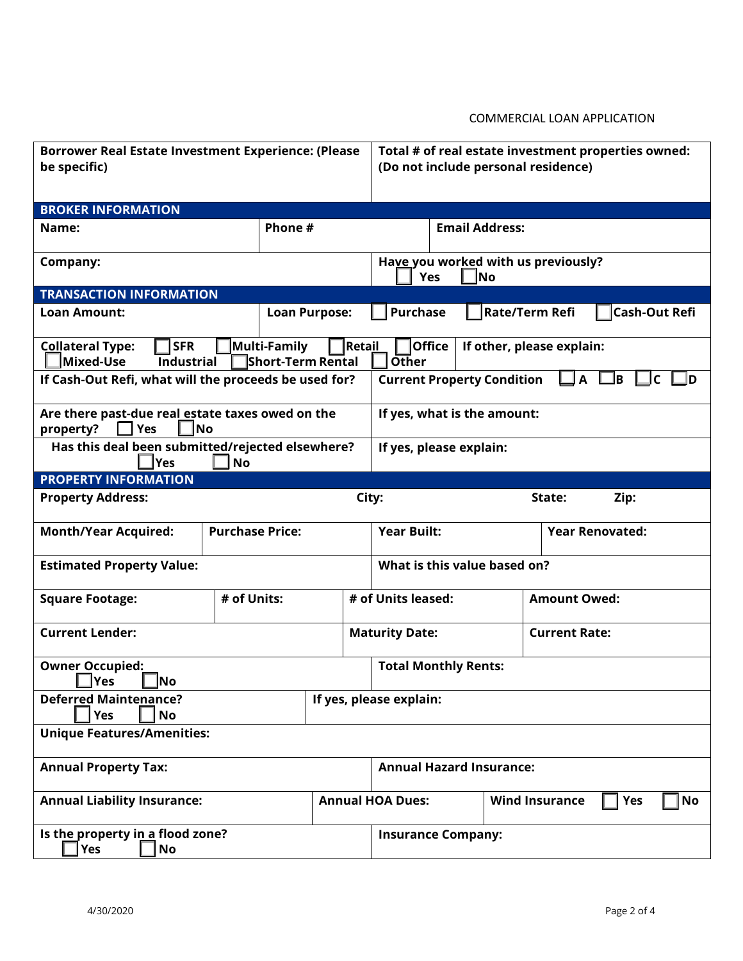## COMMERCIAL LOAN APPLICATION

| <b>Borrower Real Estate Investment Experience: (Please</b><br>be specific)                                                    |                      |                         | Total # of real estate investment properties owned:<br>(Do not include personal residence) |                                 |           |  |
|-------------------------------------------------------------------------------------------------------------------------------|----------------------|-------------------------|--------------------------------------------------------------------------------------------|---------------------------------|-----------|--|
| <b>BROKER INFORMATION</b>                                                                                                     |                      |                         |                                                                                            |                                 |           |  |
| Name:                                                                                                                         | Phone #              |                         | <b>Email Address:</b>                                                                      |                                 |           |  |
| Company:                                                                                                                      |                      |                         | Have you worked with us previously?<br><b>Yes</b><br>No                                    |                                 |           |  |
| <b>TRANSACTION INFORMATION</b>                                                                                                |                      |                         |                                                                                            |                                 |           |  |
| <b>Loan Amount:</b>                                                                                                           | <b>Loan Purpose:</b> | <b>Purchase</b>         |                                                                                            | Rate/Term Refi<br>Cash-Out Refi |           |  |
| Multi-Family<br><b>SFR</b><br><b>Retail</b><br><b>Collateral Type:</b><br>Mixed-Use<br><b>Industrial</b><br>Short-Term Rental |                      |                         | <b>Office</b><br>If other, please explain:<br>Other                                        |                                 |           |  |
| If Cash-Out Refi, what will the proceeds be used for?                                                                         |                      |                         | <b>Current Property Condition</b><br>B<br>A<br>C                                           |                                 |           |  |
| Are there past-due real estate taxes owed on the<br>property?<br>Yes<br><b>No</b>                                             |                      |                         | If yes, what is the amount:                                                                |                                 |           |  |
| Has this deal been submitted/rejected elsewhere?<br>lYes<br><b>No</b>                                                         |                      |                         | If yes, please explain:                                                                    |                                 |           |  |
| <b>PROPERTY INFORMATION</b>                                                                                                   |                      |                         |                                                                                            |                                 |           |  |
| City:<br><b>Property Address:</b><br>Zip:<br>State:                                                                           |                      |                         |                                                                                            |                                 |           |  |
| <b>Purchase Price:</b><br><b>Month/Year Acquired:</b>                                                                         |                      |                         | <b>Year Built:</b><br><b>Year Renovated:</b>                                               |                                 |           |  |
| <b>Estimated Property Value:</b>                                                                                              |                      |                         | What is this value based on?                                                               |                                 |           |  |
| <b>Square Footage:</b>                                                                                                        | # of Units:          | # of Units leased:      |                                                                                            | <b>Amount Owed:</b>             |           |  |
| <b>Current Lender:</b>                                                                                                        |                      | <b>Maturity Date:</b>   | <b>Current Rate:</b>                                                                       |                                 |           |  |
| <b>Owner Occupied:</b><br><b>Yes</b><br> No                                                                                   |                      |                         | <b>Total Monthly Rents:</b>                                                                |                                 |           |  |
| <b>Deferred Maintenance?</b><br><b>Yes</b><br><b>No</b>                                                                       |                      | If yes, please explain: |                                                                                            |                                 |           |  |
| <b>Unique Features/Amenities:</b>                                                                                             |                      |                         |                                                                                            |                                 |           |  |
| <b>Annual Property Tax:</b>                                                                                                   |                      |                         | <b>Annual Hazard Insurance:</b>                                                            |                                 |           |  |
| <b>Annual Liability Insurance:</b>                                                                                            |                      | <b>Annual HOA Dues:</b> | <b>Wind Insurance</b><br>Yes                                                               |                                 | <b>No</b> |  |
| Is the property in a flood zone?<br><b>Yes</b><br>No                                                                          |                      |                         | <b>Insurance Company:</b>                                                                  |                                 |           |  |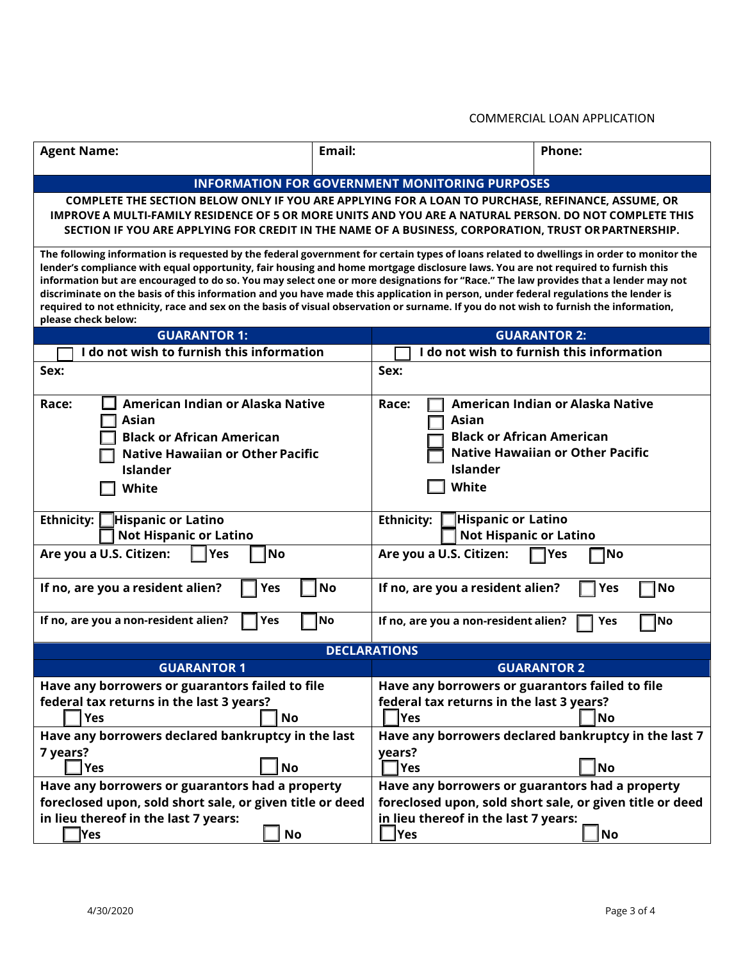## COMMERCIAL LOAN APPLICATION

| <b>Agent Name:</b>                                                                                                                                                                                                                                                                                                                                                                                                                                                                                                                                                                                                                                                                                                         | Email:    |                                                                                                          | Phone:                                                                      |  |
|----------------------------------------------------------------------------------------------------------------------------------------------------------------------------------------------------------------------------------------------------------------------------------------------------------------------------------------------------------------------------------------------------------------------------------------------------------------------------------------------------------------------------------------------------------------------------------------------------------------------------------------------------------------------------------------------------------------------------|-----------|----------------------------------------------------------------------------------------------------------|-----------------------------------------------------------------------------|--|
|                                                                                                                                                                                                                                                                                                                                                                                                                                                                                                                                                                                                                                                                                                                            |           | <b>INFORMATION FOR GOVERNMENT MONITORING PURPOSES</b>                                                    |                                                                             |  |
|                                                                                                                                                                                                                                                                                                                                                                                                                                                                                                                                                                                                                                                                                                                            |           |                                                                                                          |                                                                             |  |
| COMPLETE THE SECTION BELOW ONLY IF YOU ARE APPLYING FOR A LOAN TO PURCHASE, REFINANCE, ASSUME, OR<br>IMPROVE A MULTI-FAMILY RESIDENCE OF 5 OR MORE UNITS AND YOU ARE A NATURAL PERSON. DO NOT COMPLETE THIS<br>SECTION IF YOU ARE APPLYING FOR CREDIT IN THE NAME OF A BUSINESS, CORPORATION, TRUST OR PARTNERSHIP.                                                                                                                                                                                                                                                                                                                                                                                                        |           |                                                                                                          |                                                                             |  |
| The following information is requested by the federal government for certain types of loans related to dwellings in order to monitor the<br>lender's compliance with equal opportunity, fair housing and home mortgage disclosure laws. You are not required to furnish this<br>information but are encouraged to do so. You may select one or more designations for "Race." The law provides that a lender may not<br>discriminate on the basis of this information and you have made this application in person, under federal regulations the lender is<br>required to not ethnicity, race and sex on the basis of visual observation or surname. If you do not wish to furnish the information,<br>please check below: |           |                                                                                                          |                                                                             |  |
| <b>GUARANTOR 1:</b>                                                                                                                                                                                                                                                                                                                                                                                                                                                                                                                                                                                                                                                                                                        |           |                                                                                                          | <b>GUARANTOR 2:</b>                                                         |  |
| I do not wish to furnish this information                                                                                                                                                                                                                                                                                                                                                                                                                                                                                                                                                                                                                                                                                  |           |                                                                                                          | I do not wish to furnish this information                                   |  |
| Sex:                                                                                                                                                                                                                                                                                                                                                                                                                                                                                                                                                                                                                                                                                                                       |           | Sex:                                                                                                     |                                                                             |  |
| American Indian or Alaska Native<br>Race:<br><b>Asian</b><br><b>Black or African American</b><br><b>Native Hawaiian or Other Pacific</b><br><b>Islander</b><br><b>White</b>                                                                                                                                                                                                                                                                                                                                                                                                                                                                                                                                                |           | Race:<br>Asian<br><b>Black or African American</b><br><b>Islander</b><br>White                           | American Indian or Alaska Native<br><b>Native Hawaiian or Other Pacific</b> |  |
| Ethnicity:<br><b>Hispanic or Latino</b>                                                                                                                                                                                                                                                                                                                                                                                                                                                                                                                                                                                                                                                                                    |           | <b>Hispanic or Latino</b><br><b>Ethnicity:</b><br><b>Not Hispanic or Latino</b>                          |                                                                             |  |
| <b>Not Hispanic or Latino</b>                                                                                                                                                                                                                                                                                                                                                                                                                                                                                                                                                                                                                                                                                              |           |                                                                                                          |                                                                             |  |
| Yes<br>Are you a U.S. Citizen:                                                                                                                                                                                                                                                                                                                                                                                                                                                                                                                                                                                                                                                                                             | <b>No</b> | Are you a U.S. Citizen:                                                                                  | ¶No<br> Yes                                                                 |  |
| If no, are you a resident alien?<br><b>Yes</b>                                                                                                                                                                                                                                                                                                                                                                                                                                                                                                                                                                                                                                                                             | <b>No</b> | If no, are you a resident alien?                                                                         | <b>Yes</b><br>No                                                            |  |
| If no, are you a non-resident alien?<br>Yes                                                                                                                                                                                                                                                                                                                                                                                                                                                                                                                                                                                                                                                                                | <b>No</b> | If no, are you a non-resident alien?                                                                     | Yes<br>No                                                                   |  |
| <b>DECLARATIONS</b>                                                                                                                                                                                                                                                                                                                                                                                                                                                                                                                                                                                                                                                                                                        |           |                                                                                                          |                                                                             |  |
| <b>GUARANTOR 1</b>                                                                                                                                                                                                                                                                                                                                                                                                                                                                                                                                                                                                                                                                                                         |           | <b>GUARANTOR 2</b>                                                                                       |                                                                             |  |
| Have any borrowers or guarantors failed to file<br>federal tax returns in the last 3 years?<br>Yes<br>No                                                                                                                                                                                                                                                                                                                                                                                                                                                                                                                                                                                                                   |           | Have any borrowers or guarantors failed to file<br>federal tax returns in the last 3 years?<br>Yes<br>No |                                                                             |  |
| Have any borrowers declared bankruptcy in the last                                                                                                                                                                                                                                                                                                                                                                                                                                                                                                                                                                                                                                                                         |           | Have any borrowers declared bankruptcy in the last 7                                                     |                                                                             |  |
| 7 years?<br>∦Yes<br>No                                                                                                                                                                                                                                                                                                                                                                                                                                                                                                                                                                                                                                                                                                     |           | years?<br> Yes                                                                                           | <b>No</b>                                                                   |  |
| Have any borrowers or guarantors had a property                                                                                                                                                                                                                                                                                                                                                                                                                                                                                                                                                                                                                                                                            |           | Have any borrowers or guarantors had a property                                                          |                                                                             |  |
| foreclosed upon, sold short sale, or given title or deed                                                                                                                                                                                                                                                                                                                                                                                                                                                                                                                                                                                                                                                                   |           | foreclosed upon, sold short sale, or given title or deed                                                 |                                                                             |  |
| in lieu thereof in the last 7 years:                                                                                                                                                                                                                                                                                                                                                                                                                                                                                                                                                                                                                                                                                       |           | in lieu thereof in the last 7 years:                                                                     |                                                                             |  |
| Yes                                                                                                                                                                                                                                                                                                                                                                                                                                                                                                                                                                                                                                                                                                                        | <b>No</b> | $\vert$ Yes                                                                                              | <b>No</b>                                                                   |  |